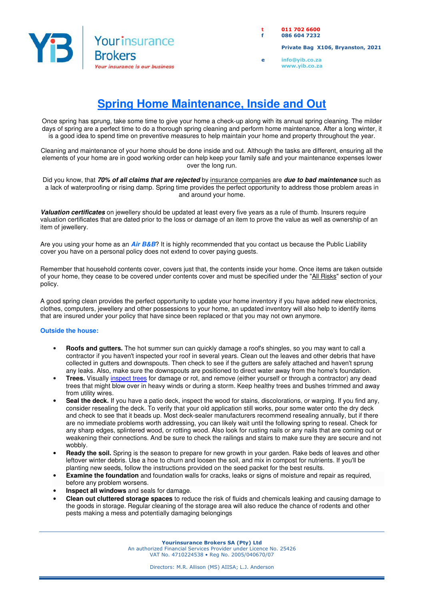

**t 011 702 6600 f 086 604 7232** 

 **Private Bag X106, Bryanston, 2021** 

**e info@yib.co.za www.yib.co.za**

## **Spring Home Maintenance, Inside and Out**

Once spring has sprung, take some time to give your home a check-up along with its annual spring cleaning. The milder days of spring are a perfect time to do a thorough spring cleaning and perform home maintenance. After a long winter, it is a good idea to spend time on preventive measures to help maintain your home and property throughout the year.

Cleaning and maintenance of your home should be done inside and out. Although the tasks are different, ensuring all the elements of your home are in good working order can help keep your family safe and your maintenance expenses lower over the long run.

Did you know, that **70% of all claims that are rejected** by insurance companies are **due to bad maintenance** such as a lack of waterproofing or rising damp. Spring time provides the perfect opportunity to address those problem areas in and around your home.

**Valuation certificates** on jewellery should be updated at least every five years as a rule of thumb. Insurers require valuation certificates that are dated prior to the loss or damage of an item to prove the value as well as ownership of an item of jewellery.

Are you using your home as an **Air B&B**? It is highly recommended that you contact us because the Public Liability cover you have on a personal policy does not extend to cover paying guests.

Remember that household contents cover, covers just that, the contents inside your home. Once items are taken outside of your home, they cease to be covered under contents cover and must be specified under the "All Risks" section of your policy.

A good spring clean provides the perfect opportunity to update your home inventory if you have added new electronics, clothes, computers, jewellery and other possessions to your home, an updated inventory will also help to identify items that are insured under your policy that have since been replaced or that you may not own anymore.

## **Outside the house:**

- **Roofs and gutters.** The hot summer sun can quickly damage a roof's shingles, so you may want to call a contractor if you haven't inspected your roof in several years. Clean out the leaves and other debris that have collected in gutters and downspouts. Then check to see if the gutters are safely attached and haven't sprung any leaks. Also, make sure the downspouts are positioned to direct water away from the home's foundation.
- **Trees.** Visually inspect trees for damage or rot, and remove (either yourself or through a contractor) any dead trees that might blow over in heavy winds or during a storm. Keep healthy trees and bushes trimmed and away from utility wires.
- **Seal the deck.** If you have a patio deck, inspect the wood for stains, discolorations, or warping. If you find any, consider resealing the deck. To verify that your old application still works, pour some water onto the dry deck and check to see that it beads up. Most deck-sealer manufacturers recommend resealing annually, but if there are no immediate problems worth addressing, you can likely wait until the following spring to reseal. Check for any sharp edges, splintered wood, or rotting wood. Also look for rusting nails or any nails that are coming out or weakening their connections. And be sure to check the railings and stairs to make sure they are secure and not wobbly.
- **Ready the soil.** Spring is the season to prepare for new growth in your garden. Rake beds of leaves and other leftover winter debris. Use a hoe to churn and loosen the soil, and mix in compost for nutrients. If you'll be planting new seeds, follow the instructions provided on the seed packet for the best results.
- **Examine the foundation** and foundation walls for cracks, leaks or signs of moisture and repair as required, before any problem worsens.
- **Inspect all windows** and seals for damage.
- **Clean out cluttered storage spaces** to reduce the risk of fluids and chemicals leaking and causing damage to the goods in storage. Regular cleaning of the storage area will also reduce the chance of rodents and other pests making a mess and potentially damaging belongings

**Yourinsurance Brokers SA (Pty) Ltd** 

An authorized Financial Services Provider under Licence No. 25426 VAT No. 4710224538 • Reg No. 2005/040670/07